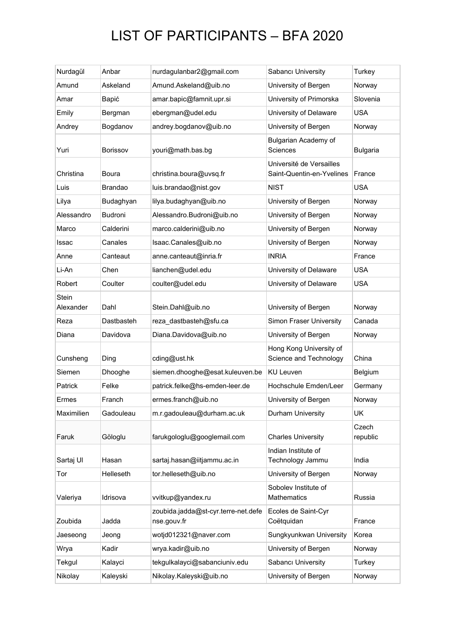## LIST OF PARTICIPANTS – BFA 2020

| Nurdagül                  | Anbar           | nurdagulanbar2@gmail.com                           | Sabancı University                                    | Turkey            |
|---------------------------|-----------------|----------------------------------------------------|-------------------------------------------------------|-------------------|
| Amund                     | Askeland        | Amund.Askeland@uib.no                              | University of Bergen                                  | Norway            |
| Amar                      | Bapić           | amar.bapic@famnit.upr.si                           | University of Primorska                               | Slovenia          |
| Emily                     | Bergman         | ebergman@udel.edu                                  | University of Delaware                                | <b>USA</b>        |
| Andrey                    | Bogdanov        | andrey.bogdanov@uib.no                             | University of Bergen                                  | Norway            |
| Yuri                      | <b>Borissov</b> | youri@math.bas.bg                                  | Bulgarian Academy of<br>Sciences                      | <b>Bulgaria</b>   |
| Christina                 | <b>Boura</b>    | christina.boura@uvsq.fr                            | Université de Versailles<br>Saint-Quentin-en-Yvelines | France            |
| Luis                      | <b>Brandao</b>  | luis.brandao@nist.gov                              | <b>NIST</b>                                           | <b>USA</b>        |
| Lilya                     | Budaghyan       | lilya.budaghyan@uib.no                             | University of Bergen                                  | Norway            |
| Alessandro                | Budroni         | Alessandro.Budroni@uib.no                          | University of Bergen                                  | Norway            |
| Marco                     | Calderini       | marco.calderini@uib.no                             | University of Bergen                                  | Norway            |
| Issac                     | Canales         | Isaac.Canales@uib.no                               | University of Bergen                                  | Norway            |
| Anne                      | Canteaut        | anne.canteaut@inria.fr                             | <b>INRIA</b>                                          | France            |
| Li-An                     | Chen            | lianchen@udel.edu                                  | University of Delaware                                | <b>USA</b>        |
| Robert                    | Coulter         | coulter@udel.edu                                   | University of Delaware                                | <b>USA</b>        |
| <b>Stein</b><br>Alexander | Dahl            | Stein.Dahl@uib.no                                  | University of Bergen                                  | Norway            |
| Reza                      | Dastbasteh      | reza_dastbasteh@sfu.ca                             | Simon Fraser University                               | Canada            |
| Diana                     | Davidova        | Diana.Davidova@uib.no                              | University of Bergen                                  | Norway            |
| Cunsheng                  | Ding            | cding@ust.hk                                       | Hong Kong University of<br>Science and Technology     | China             |
| Siemen                    | Dhooghe         | siemen.dhooghe@esat.kuleuven.be                    | <b>KU Leuven</b>                                      | Belgium           |
| Patrick                   | Felke           | patrick.felke@hs-emden-leer.de                     | Hochschule Emden/Leer                                 | Germany           |
| Ermes                     | Franch          | ermes.franch@uib.no                                | University of Bergen                                  | Norway            |
| Maximilien                | Gadouleau       | m.r.gadouleau@durham.ac.uk                         | Durham University                                     | UK                |
| Faruk                     | Göloglu         | farukgologlu@googlemail.com                        | <b>Charles University</b>                             | Czech<br>republic |
| Sartaj Ul                 | Hasan           | sartaj.hasan@iitjammu.ac.in                        | Indian Institute of<br>Technology Jammu               | India             |
| Tor                       | Helleseth       | tor.helleseth@uib.no                               | University of Bergen                                  | Norway            |
| Valeriya                  | Idrisova        | vvitkup@yandex.ru                                  | Sobolev Institute of<br><b>Mathematics</b>            | Russia            |
| Zoubida                   | Jadda           | zoubida.jadda@st-cyr.terre-net.defe<br>nse.gouv.fr | Ecoles de Saint-Cyr<br>Coëtquidan                     | France            |
| Jaeseong                  | Jeong           | wotjd012321@naver.com                              | Sungkyunkwan University                               | Korea             |
| Wrya                      | Kadir           | wrya.kadir@uib.no                                  | University of Bergen                                  | Norway            |
| Tekgul                    | Kalayci         | tekgulkalayci@sabanciuniv.edu                      | Sabancı University                                    | Turkey            |
| Nikolay                   | Kaleyski        | Nikolay.Kaleyski@uib.no                            | University of Bergen                                  | Norway            |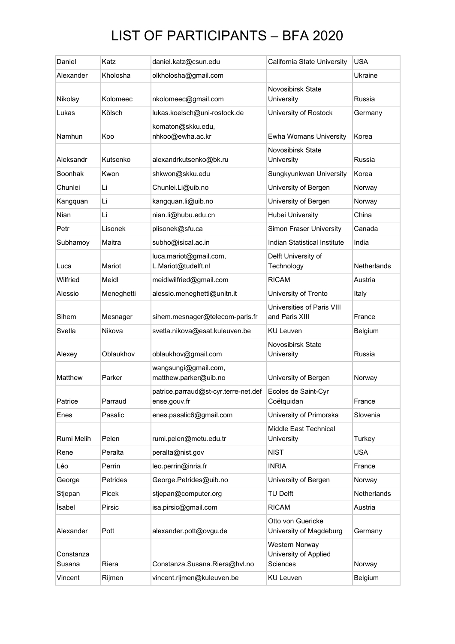## LIST OF PARTICIPANTS – BFA 2020

| Daniel              | Katz       | daniel.katz@csun.edu                                 | California State University                                | <b>USA</b>  |
|---------------------|------------|------------------------------------------------------|------------------------------------------------------------|-------------|
| Alexander           | Kholosha   | olkholosha@gmail.com                                 |                                                            | Ukraine     |
| Nikolay             | Kolomeec   | nkolomeec@gmail.com                                  | Novosibirsk State<br>University                            | Russia      |
| Lukas               | Kölsch     | lukas.koelsch@uni-rostock.de                         | University of Rostock                                      | Germany     |
| Namhun              | Koo        | komaton@skku.edu,<br>nhkoo@ewha.ac.kr                | <b>Ewha Womans University</b>                              | Korea       |
| Aleksandr           | Kutsenko   | alexandrkutsenko@bk.ru                               | Novosibirsk State<br>University                            | Russia      |
| Soonhak             | Kwon       | shkwon@skku.edu                                      | Sungkyunkwan University                                    | Korea       |
| Chunlei             | Li         | Chunlei.Li@uib.no                                    | University of Bergen                                       | Norway      |
| Kangquan            | Li         | kangquan.li@uib.no                                   | University of Bergen                                       | Norway      |
| Nian                | Li         | nian.li@hubu.edu.cn                                  | Hubei University                                           | China       |
| Petr                | Lisonek    | plisonek@sfu.ca                                      | Simon Fraser University                                    | Canada      |
| Subhamoy            | Maitra     | subho@isical.ac.in                                   | Indian Statistical Institute                               | India       |
| Luca                | Mariot     | luca.mariot@gmail.com,<br>L.Mariot@tudelft.nl        | Delft University of<br>Technology                          | Netherlands |
| Wilfried            | Meidl      | meidlwilfried@gmail.com                              | <b>RICAM</b>                                               | Austria     |
| Alessio             | Meneghetti | alessio.meneghetti@unitn.it                          | University of Trento                                       | Italy       |
| Sihem               | Mesnager   | sihem.mesnager@telecom-paris.fr                      | Universities of Paris VIII<br>and Paris XIII               | France      |
| Svetla              | Nikova     | svetla.nikova@esat.kuleuven.be                       | KU Leuven                                                  | Belgium     |
| Alexey              | Oblaukhov  | oblaukhov@gmail.com                                  | Novosibirsk State<br>University                            | Russia      |
| Matthew             | Parker     | wangsungi@gmail.com,<br>matthew.parker@uib.no        | University of Bergen                                       | Norway      |
| Patrice             | Parraud    | patrice.parraud@st-cyr.terre-net.def<br>ense.gouv.fr | Ecoles de Saint-Cyr<br>Coëtquidan                          | France      |
| Enes                | Pasalic    | enes.pasalic6@gmail.com                              | University of Primorska                                    | Slovenia    |
| Rumi Melih          | Pelen      | rumi.pelen@metu.edu.tr                               | Middle East Technical<br>University                        | Turkey      |
| Rene                | Peralta    | peralta@nist.gov                                     | <b>NIST</b>                                                | <b>USA</b>  |
| Léo                 | Perrin     | leo.perrin@inria.fr                                  | <b>INRIA</b>                                               | France      |
| George              | Petrides   | George.Petrides@uib.no                               | University of Bergen                                       | Norway      |
| Stjepan             | Picek      | stjepan@computer.org                                 | TU Delft                                                   | Netherlands |
| İsabel              | Pirsic     | isa.pirsic@gmail.com                                 | <b>RICAM</b>                                               | Austria     |
| Alexander           | Pott       | alexander.pott@ovgu.de                               | Otto von Guericke<br>University of Magdeburg               | Germany     |
| Constanza<br>Susana | Riera      | Constanza.Susana.Riera@hvl.no                        | Western Norway<br>University of Applied<br><b>Sciences</b> | Norway      |
| Vincent             | Rijmen     | vincent.rijmen@kuleuven.be                           | KU Leuven                                                  | Belgium     |